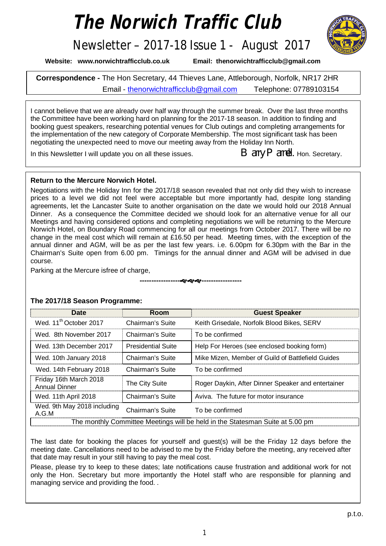# *The Norwich Traffic Club*



Newsletter – 2017-18 Issue 1 - August 2017

**Website: [www.norwichtrafficclub.co.uk](http://www.norwichtrafficclub.co.uk) Email: [thenorwichtrafficclub@gmail.com](mailto:thenorwichtrafficclub@gmail.com)**

**Correspondence -** The Hon Secretary, 44 Thieves Lane, Attleborough, Norfolk, NR17 2HR Email - [thenorwichtrafficclub@gmail.com](mailto:thenorwichtrafficclub@gmail.com) Telephone: 07789103154

I cannot believe that we are already over half way through the summer break. Over the last three months the Committee have been working hard on planning for the 2017-18 season. In addition to finding and booking guest speakers, researching potential venues for Club outings and completing arrangements for the implementation of the new category of Corporate Membership. The most significant task has been negotiating the unexpected need to move our meeting away from the Holiday Inn North.

In this Newsletter I will update you on all these issues.  $B$  arry  $P$  arnell. Hon. Secretary.

### **Return to the Mercure Norwich Hotel.**

Negotiations with the Holiday Inn for the 2017/18 season revealed that not only did they wish to increase prices to a level we did not feel were acceptable but more importantly had, despite long standing agreements, let the Lancaster Suite to another organisation on the date we would hold our 2018 Annual Dinner. As a consequence the Committee decided we should look for an alternative venue for all our Meetings and having considered options and completing negotiations we will be returning to the Mercure Norwich Hotel, on Boundary Road commencing for all our meetings from October 2017. There will be no change in the meal cost which will remain at £16.50 per head. Meeting times, with the exception of the annual dinner and AGM, will be as per the last few years. i.e. 6.00pm for 6.30pm with the Bar in the Chairman's Suite open from 6.00 pm. Timings for the annual dinner and AGM will be advised in due course.

**----------------------------------**

Parking at the Mercure isfree of charge,

| <b>Date</b>                                                                   | Room                      | <b>Guest Speaker</b>                               |  |
|-------------------------------------------------------------------------------|---------------------------|----------------------------------------------------|--|
| Wed. 11 <sup>th</sup> October 2017                                            | Chairman's Suite          | Keith Grisedale, Norfolk Blood Bikes, SERV         |  |
| Wed. 8th November 2017                                                        | Chairman's Suite          | To be confirmed                                    |  |
| Wed. 13th December 2017                                                       | <b>Presidential Suite</b> | Help For Heroes (see enclosed booking form)        |  |
| Wed. 10th January 2018                                                        | Chairman's Suite          | Mike Mizen, Member of Guild of Battlefield Guides  |  |
| Wed. 14th February 2018                                                       | Chairman's Suite          | To be confirmed                                    |  |
| Friday 16th March 2018<br><b>Annual Dinner</b>                                | The City Suite            | Roger Daykin, After Dinner Speaker and entertainer |  |
| Wed. 11th April 2018                                                          | Chairman's Suite          | Aviva. The future for motor insurance              |  |
| Wed. 9th May 2018 including<br>A.G.M                                          | Chairman's Suite          | To be confirmed                                    |  |
| The monthly Committee Meetings will be held in the Statesman Suite at 5.00 pm |                           |                                                    |  |

## **The 2017/18 Season Programme:**

The last date for booking the places for yourself and guest(s) will be the Friday 12 days before the meeting date. Cancellations need to be advised to me by the Friday before the meeting, any received after that date may result in your still having to pay the meal cost.

Please, please try to keep to these dates; late notifications cause frustration and additional work for not only the Hon. Secretary but more importantly the Hotel staff who are responsible for planning and managing service and providing the food. .